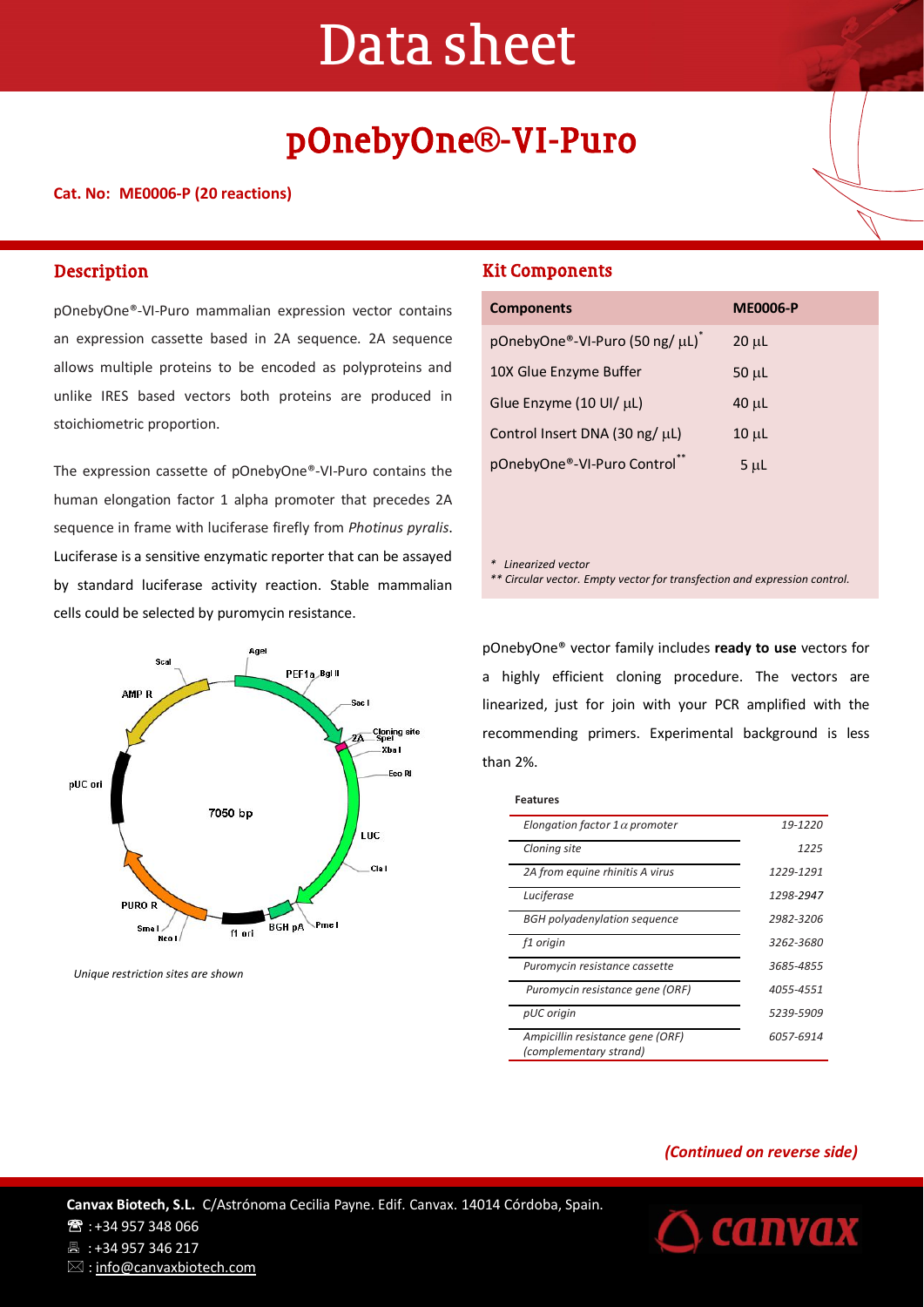# Data sheet

## pOnebyOne**®**-VI-Puro

#### **Cat. No: ME0006-P (20 reactions)**

#### **Description**

pOnebyOne®-VI-Puro mammalian expression vector contains an expression cassette based in 2A sequence. 2A sequence allows multiple proteins to be encoded as polyproteins and unlike IRES based vectors both proteins are produced in stoichiometric proportion.

The expression cassette of pOnebyOne®-VI-Puro contains the human elongation factor 1 alpha promoter that precedes 2A sequence in frame with luciferase firefly from *Photinus pyralis*. Luciferase is a sensitive enzymatic reporter that can be assayed by standard luciferase activity reaction. Stable mammalian cells could be selected by puromycin resistance.



*Unique restriction sites are shown*

#### Kit Components

| <b>Components</b>              | <b>ME0006-P</b> |
|--------------------------------|-----------------|
| pOnebyOne®-VI-Puro (50 ng/ µL) | $20 \mu L$      |
| 10X Glue Enzyme Buffer         | $50 \mu L$      |
| Glue Enzyme (10 UI/ µL)        | $40 \mu L$      |
| Control Insert DNA (30 ng/ µL) | $10 \mu L$      |
| pOnebyOne®-VI-Puro Control**   | $5 \mu L$       |

ı

*\* Linearized vector*

*\*\* Circular vector. Empty vector for transfection and expression control.*

pOnebyOne® vector family includes **ready to use** vectors for a highly efficient cloning procedure. The vectors are linearized, just for join with your PCR amplified with the recommending primers. Experimental background is less than 2%.

#### **Features**

| Elongation factor 1 $\alpha$ promoter                      | 19-1220   |
|------------------------------------------------------------|-----------|
| Cloning site                                               | 1225      |
| 2A from equine rhinitis A virus                            | 1229-1291 |
| Luciferase                                                 | 1298-2947 |
| <b>BGH</b> polyadenylation sequence                        | 2982-3206 |
| f1 origin                                                  | 3262-3680 |
| Puromycin resistance cassette                              | 3685-4855 |
| Puromycin resistance gene (ORF)                            | 4055-4551 |
| pUC origin                                                 | 5239-5909 |
| Ampicillin resistance gene (ORF)<br>(complementary strand) | 6057-6914 |

#### *(Continued on reverse side)*

**CANVAX** 

**Canvax Biotech, S.L.** C/Astrónoma Cecilia Payne. Edif. Canvax. 14014 Córdoba, Spain. **图: +34 957 348 066** 昌: +34 957 346 217  $\boxtimes$ : info@canvaxbiotech.com